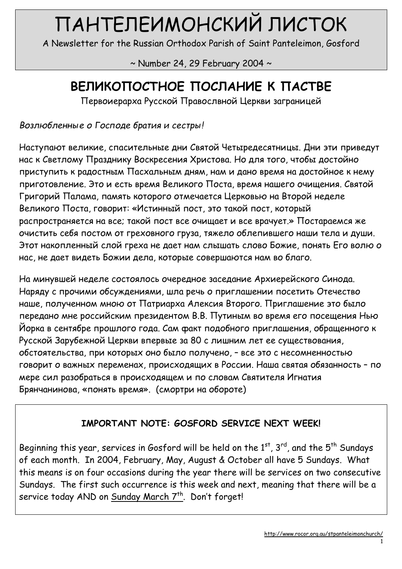# ПАНТЕЛЕИМОНСКИЙ ЛИСТОК

A Newsletter for the Russian Orthodox Parish of Saint Panteleimon, Gosford

 $\sim$  Number 24, 29 February 2004  $\sim$ 

# ВЕЛИКОПОСТНОЕ ПОСЛАНИЕ К ПАСТВЕ

Первоиерарха Русской Правослвной Церкви заграницей

#### Возлюбленные о Господе братия и сестры!

Наступают великие, спасительные дни Святой Четыредесятницы. Дни эти приведут нас к Светлому Празднику Воскресения Христова. Но для того, чтобы достойно приступить к радостным Пасхальным дням, нам и дано время на достойное к нему приготовление. Это и есть время Великого Поста, время нашего очищения. Святой Григорий Палама, память которого отмечается Церковью на Второй неделе Великого Поста, говорит: «Истинный пост, это такой пост, который распространяется на все; такой пост все очищает и все врачует.» Постараемся же очистить себя постом от греховного груза, тяжело облепившего наши тела и души. Этот накопленный слой греха не дает нам слышать слово Божие, понять Его волю о нас, не дает видеть Божии дела, которые совершаются нам во благо.

На минувшей неделе состоялось очередное заседание Архиерейского Синода. Наряду с прочими обсуждениями, шла речь о приглашении посетить Отечество наше, полученном мною от Патриарха Алексия Второго. Приглашение это было передано мне российским президентом В.В. Путиным во время его посещения Нью Йорка в сентябре прошлого года. Сам факт подобного приглашения, обращенного к Русской Зарубежной Церкви впервые за 80 c лишним лет ее существования, обстоятельства, при которых оно было получено, – все это с несомненностью говорит о важных переменах, происходящих в России. Наша святая обязанность – по мере сил разобраться в происходящем и по словам Святителя Игнатия Брянчанинова, «понять время». (смортри на обороте)

# IMPORTANT NOTE: GOSFORD SERVICE NEXT WEEK!

Beginning this year, services in Gosford will be held on the  $1^{st}$ ,  $3^{rd}$ , and the  $5^{th}$  Sundays of each month. In 2004, February, May, August & October all have 5 Sundays. What this means is on four occasions during the year there will be services on two consecutive Sundays. The first such occurrence is this week and next, meaning that there will be a service today AND on Sunday March 7<sup>th</sup>. Don't forget!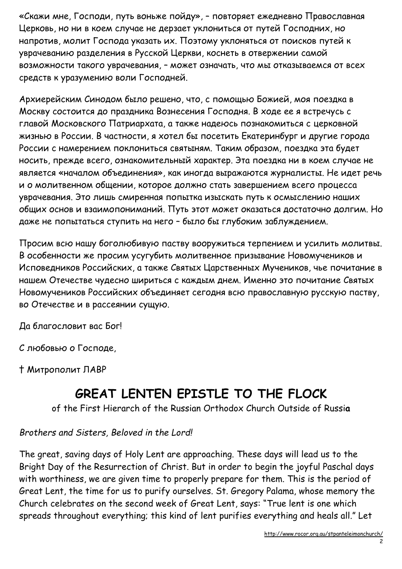«Скажи мне, Господи, путь воньже пойду», – повторяет ежедневно Православная Церковь, но ни в коем случае не дерзает уклониться от путей Господних, но напротив, молит Господа указать их. Поэтому уклоняться от поисков путей к уврачеванию разделения в Русской Церкви, коснеть в отвержении самой возможности такого уврачевания, – может означать, что мы отказываемся от всех средств к уразумению воли Господней.

Архиерейским Синодом было решено, что, с помощью Божией, моя поездка в Москву состоится до праздника Вознесения Господня. В ходе ее я встречусь с главой Московского Патриархата, а также надеюсь познакомиться с церковной жизнью в России. В частности, я хотел бы посетить Екатеринбург и другие города России с намерением поклониться святыням. Таким образом, поездка эта будет носить, прежде всего, ознакомительный характер. Эта поездка ни в коем случае не является «началом объединения», как иногда выражаются журналисты. Не идет речь и о молитвенном общении, которое должно стать завершением всего процесса уврачевания. Это лишь смиренная попытка изыскать путь к осмыслению наших общих основ и взаимопониманий. Путь этот может оказаться достаточно долгим. Но даже не попытаться ступить на него – было бы глубоким заблуждением.

Просим всю нашу боголюбивую паству вооружиться терпением и усилить молитвы. В особенности же просим усугубить молитвенное призывание Новомучеников и Исповедников Российских, а также Святых Царственных Мучеников, чье почитание в нашем Отечестве чудесно шириться с каждым днем. Именно это почитание Святых Новомучеников Российских объединяет сегодня всю православную русскую паству, во Отечестве и в рассеянии сущую.

Да благословит вас Бог!

С любовью о Господе,

† Митрополит ЛАВР

# GREAT LENTEN EPISTLE TO THE FLOCK

of the First Hierarch of the Russian Orthodox Church Outside of Russia

## Brothers and Sisters, Beloved in the Lord!

The great, saving days of Holy Lent are approaching. These days will lead us to the Bright Day of the Resurrection of Christ. But in order to begin the joyful Paschal days with worthiness, we are given time to properly prepare for them. This is the period of Great Lent, the time for us to purify ourselves. St. Gregory Palama, whose memory the Church celebrates on the second week of Great Lent, says: "True lent is one which spreads throughout everything; this kind of lent purifies everything and heals all." Let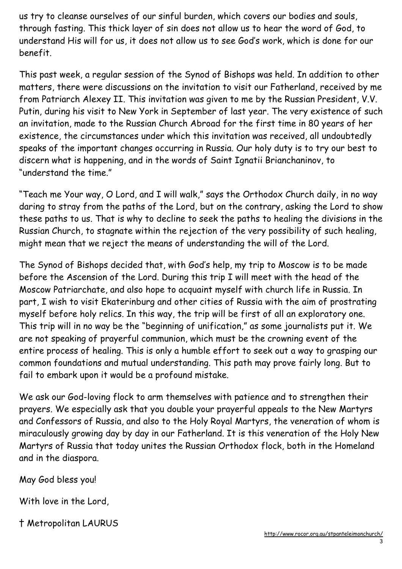us try to cleanse ourselves of our sinful burden, which covers our bodies and souls, through fasting. This thick layer of sin does not allow us to hear the word of God, to understand His will for us, it does not allow us to see God's work, which is done for our benefit.

This past week, a regular session of the Synod of Bishops was held. In addition to other matters, there were discussions on the invitation to visit our Fatherland, received by me from Patriarch Alexey II. This invitation was given to me by the Russian President, V.V. Putin, during his visit to New York in September of last year. The very existence of such an invitation, made to the Russian Church Abroad for the first time in 80 years of her existence, the circumstances under which this invitation was received, all undoubtedly speaks of the important changes occurring in Russia. Our holy duty is to try our best to discern what is happening, and in the words of Saint Ignatii Brianchaninov, to "understand the time."

"Teach me Your way, O Lord, and I will walk," says the Orthodox Church daily, in no way daring to stray from the paths of the Lord, but on the contrary, asking the Lord to show these paths to us. That is why to decline to seek the paths to healing the divisions in the Russian Church, to stagnate within the rejection of the very possibility of such healing, might mean that we reject the means of understanding the will of the Lord.

The Synod of Bishops decided that, with God's help, my trip to Moscow is to be made before the Ascension of the Lord. During this trip I will meet with the head of the Moscow Patriarchate, and also hope to acquaint myself with church life in Russia. In part, I wish to visit Ekaterinburg and other cities of Russia with the aim of prostrating myself before holy relics. In this way, the trip will be first of all an exploratory one. This trip will in no way be the "beginning of unification," as some journalists put it. We are not speaking of prayerful communion, which must be the crowning event of the entire process of healing. This is only a humble effort to seek out a way to grasping our common foundations and mutual understanding. This path may prove fairly long. But to fail to embark upon it would be a profound mistake.

We ask our God-loving flock to arm themselves with patience and to strengthen their prayers. We especially ask that you double your prayerful appeals to the New Martyrs and Confessors of Russia, and also to the Holy Royal Martyrs, the veneration of whom is miraculously growing day by day in our Fatherland. It is this veneration of the Holy New Martyrs of Russia that today unites the Russian Orthodox flock, both in the Homeland and in the diaspora.

May God bless you!

With love in the Lord,

† Metropolitan LAURUS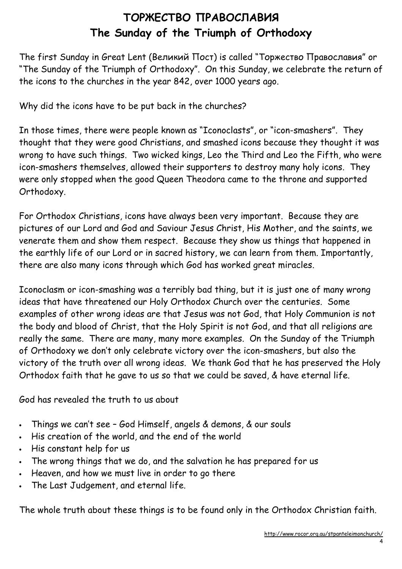# ТОРЖЕСТВО ПРАВОСЛАВИЯ The Sunday of the Triumph of Orthodoxy

The first Sunday in Great Lent (Великий Пост) is called "Торжество Православия" or "The Sunday of the Triumph of Orthodoxy". On this Sunday, we celebrate the return of the icons to the churches in the year 842, over 1000 years ago.

Why did the icons have to be put back in the churches?

In those times, there were people known as "Iconoclasts", or "icon-smashers". They thought that they were good Christians, and smashed icons because they thought it was wrong to have such things. Two wicked kings, Leo the Third and Leo the Fifth, who were icon-smashers themselves, allowed their supporters to destroy many holy icons. They were only stopped when the good Queen Theodora came to the throne and supported Orthodoxy.

For Orthodox Christians, icons have always been very important. Because they are pictures of our Lord and God and Saviour Jesus Christ, His Mother, and the saints, we venerate them and show them respect. Because they show us things that happened in the earthly life of our Lord or in sacred history, we can learn from them. Importantly, there are also many icons through which God has worked great miracles.

Iconoclasm or icon-smashing was a terribly bad thing, but it is just one of many wrong ideas that have threatened our Holy Orthodox Church over the centuries. Some examples of other wrong ideas are that Jesus was not God, that Holy Communion is not the body and blood of Christ, that the Holy Spirit is not God, and that all religions are really the same. There are many, many more examples. On the Sunday of the Triumph of Orthodoxy we don't only celebrate victory over the icon-smashers, but also the victory of the truth over all wrong ideas. We thank God that he has preserved the Holy Orthodox faith that he gave to us so that we could be saved, & have eternal life.

God has revealed the truth to us about

- Things we can't see God Himself, angels & demons, & our souls
- His creation of the world, and the end of the world
- His constant help for us
- The wrong things that we do, and the salvation he has prepared for us
- Heaven, and how we must live in order to go there
- The Last Judgement, and eternal life.

The whole truth about these things is to be found only in the Orthodox Christian faith.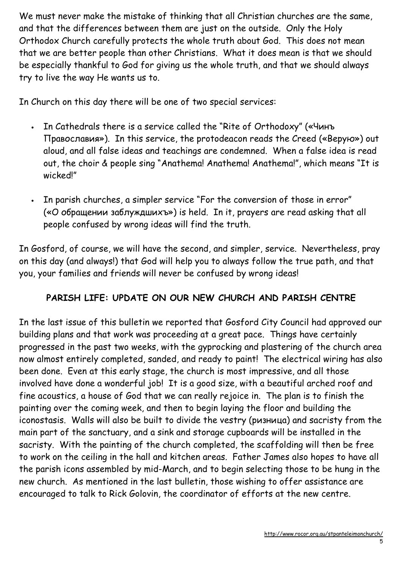We must never make the mistake of thinking that all Christian churches are the same, and that the differences between them are just on the outside. Only the Holy Orthodox Church carefully protects the whole truth about God. This does not mean that we are better people than other Christians. What it does mean is that we should be especially thankful to God for giving us the whole truth, and that we should always try to live the way He wants us to.

In Church on this day there will be one of two special services:

- In Cathedrals there is a service called the "Rite of Orthodoxy" («Чинъ Православия»). In this service, the protodeacon reads the Creed («Верую») out aloud, and all false ideas and teachings are condemned. When a false idea is read out, the choir & people sing "Anathema! Anathema! Anathema!", which means "It is wicked!"
- In parish churches, a simpler service "For the conversion of those in error" («О обращении заблуждшихъ») is held. In it, prayers are read asking that all people confused by wrong ideas will find the truth.

In Gosford, of course, we will have the second, and simpler, service. Nevertheless, pray on this day (and always!) that God will help you to always follow the true path, and that you, your families and friends will never be confused by wrong ideas!

## PARISH LIFE: UPDATE ON OUR NEW CHURCH AND PARISH CENTRE

In the last issue of this bulletin we reported that Gosford City Council had approved our building plans and that work was proceeding at a great pace. Things have certainly progressed in the past two weeks, with the gyprocking and plastering of the church area now almost entirely completed, sanded, and ready to paint! The electrical wiring has also been done. Even at this early stage, the church is most impressive, and all those involved have done a wonderful job! It is a good size, with a beautiful arched roof and fine acoustics, a house of God that we can really rejoice in. The plan is to finish the painting over the coming week, and then to begin laying the floor and building the iconostasis. Walls will also be built to divide the vestry (ризница) and sacristy from the main part of the sanctuary, and a sink and storage cupboards will be installed in the sacristy. With the painting of the church completed, the scaffolding will then be free to work on the ceiling in the hall and kitchen areas. Father James also hopes to have all the parish icons assembled by mid-March, and to begin selecting those to be hung in the new church. As mentioned in the last bulletin, those wishing to offer assistance are encouraged to talk to Rick Golovin, the coordinator of efforts at the new centre.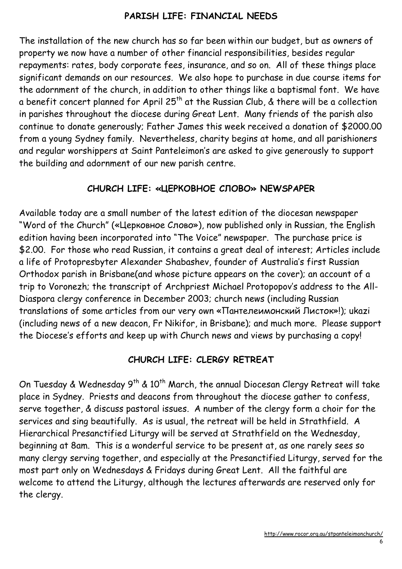#### PARISH LIFE: FINANCIAL NEEDS

The installation of the new church has so far been within our budget, but as owners of property we now have a number of other financial responsibilities, besides regular repayments: rates, body corporate fees, insurance, and so on. All of these things place significant demands on our resources. We also hope to purchase in due course items for the adornment of the church, in addition to other things like a baptismal font. We have a benefit concert planned for April 25<sup>th</sup> at the Russian Club, & there will be a collection in parishes throughout the diocese during Great Lent. Many friends of the parish also continue to donate generously; Father James this week received a donation of \$2000.00 from a young Sydney family. Nevertheless, charity begins at home, and all parishioners and regular worshippers at Saint Panteleimon's are asked to give generously to support the building and adornment of our new parish centre.

#### CHURCH LIFE: «ЦЕРКОВНОЕ СЛОВО» NEWSPAPER

Available today are a small number of the latest edition of the diocesan newspaper "Word of the Church" («Церковное Слово»), now published only in Russian, the English edition having been incorporated into "The Voice" newspaper. The purchase price is \$2.00. For those who read Russian, it contains a great deal of interest; Articles include a life of Protopresbyter Alexander Shabashev, founder of Australia's first Russian Orthodox parish in Brisbane(and whose picture appears on the cover); an account of a trip to Voronezh; the transcript of Archpriest Michael Protopopov's address to the All-Diaspora clergy conference in December 2003; church news (including Russian translations of some articles from our very own «Пантелеимонский Листок»!); ukazi (including news of a new deacon, Fr Nikifor, in Brisbane); and much more. Please support the Diocese's efforts and keep up with Church news and views by purchasing a copy!

#### CHURCH LIFE: CLERGY RETREAT

On Tuesday & Wednesday 9<sup>th</sup> & 10<sup>th</sup> March, the annual Diocesan Clergy Retreat will take place in Sydney. Priests and deacons from throughout the diocese gather to confess, serve together, & discuss pastoral issues. A number of the clergy form a choir for the services and sing beautifully. As is usual, the retreat will be held in Strathfield. A Hierarchical Presanctified Liturgy will be served at Strathfield on the Wednesday, beginning at 8am. This is a wonderful service to be present at, as one rarely sees so many clergy serving together, and especially at the Presanctified Liturgy, served for the most part only on Wednesdays & Fridays during Great Lent. All the faithful are welcome to attend the Liturgy, although the lectures afterwards are reserved only for the clergy.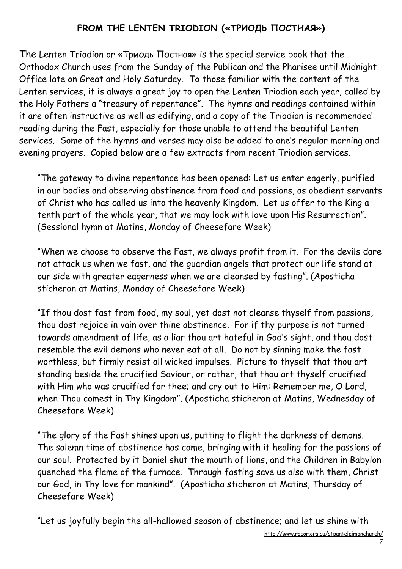#### FROM THE LENTEN TRIODION («ТРИОДЬ ПОСТНАЯ»)

The Lenten Triodion or «Триодь Постная» is the special service book that the Orthodox Church uses from the Sunday of the Publican and the Pharisee until Midnight Office late on Great and Holy Saturday. To those familiar with the content of the Lenten services, it is always a great joy to open the Lenten Triodion each year, called by the Holy Fathers a "treasury of repentance". The hymns and readings contained within it are often instructive as well as edifying, and a copy of the Triodion is recommended reading during the Fast, especially for those unable to attend the beautiful Lenten services. Some of the hymns and verses may also be added to one's regular morning and evening prayers. Copied below are a few extracts from recent Triodion services.

"The gateway to divine repentance has been opened: Let us enter eagerly, purified in our bodies and observing abstinence from food and passions, as obedient servants of Christ who has called us into the heavenly Kingdom. Let us offer to the King a tenth part of the whole year, that we may look with love upon His Resurrection". (Sessional hymn at Matins, Monday of Cheesefare Week)

"When we choose to observe the Fast, we always profit from it. For the devils dare not attack us when we fast, and the guardian angels that protect our life stand at our side with greater eagerness when we are cleansed by fasting". (Aposticha sticheron at Matins, Monday of Cheesefare Week)

"If thou dost fast from food, my soul, yet dost not cleanse thyself from passions, thou dost rejoice in vain over thine abstinence. For if thy purpose is not turned towards amendment of life, as a liar thou art hateful in God's sight, and thou dost resemble the evil demons who never eat at all. Do not by sinning make the fast worthless, but firmly resist all wicked impulses. Picture to thyself that thou art standing beside the crucified Saviour, or rather, that thou art thyself crucified with Him who was crucified for thee; and cry out to Him: Remember me, O Lord, when Thou comest in Thy Kingdom". (Aposticha sticheron at Matins, Wednesday of Cheesefare Week)

"The glory of the Fast shines upon us, putting to flight the darkness of demons. The solemn time of abstinence has come, bringing with it healing for the passions of our soul. Protected by it Daniel shut the mouth of lions, and the Children in Babylon quenched the flame of the furnace. Through fasting save us also with them, Christ our God, in Thy love for mankind". (Aposticha sticheron at Matins, Thursday of Cheesefare Week)

"Let us joyfully begin the all-hallowed season of abstinence; and let us shine with